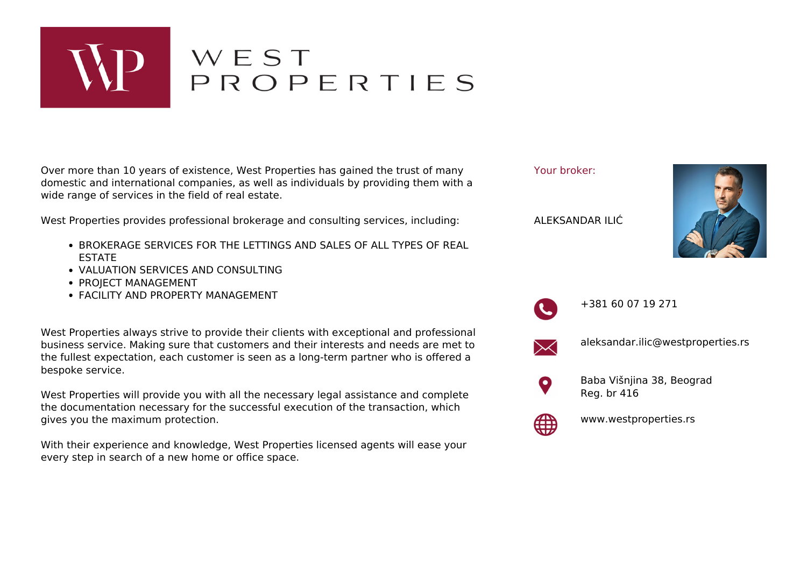

## WEST<br>PROPERTIES

Over more than 10 years of existence, West Properties has gained the trust of many domestic and international companies, as well as individuals by providing them with a wide range of services in the field of real estate.

West Properties provides professional brokerage and consulting services, including:

- **BROKERAGE SERVICES FOR THE LETTINGS AND SALES OF ALL TYPES OF REAL** ESTATE
- VALUATION SERVICES AND CONSULTING
- PROJECT MANAGEMENT
- FACILITY AND PROPERTY MANAGEMENT

West Properties always strive to provide their clients with exceptional and professional business service. Making sure that customers and their interests and needs are met to the fullest expectation, each customer is seen as a long-term partner who is offered a bespoke service.

West Properties will provide you with all the necessary legal assistance and complete the documentation necessary for the successful execution of the transaction, which gives you the maximum protection.

With their experience and knowledge, West Properties licensed agents will ease your every step in search of a new home or office space.

Your broker:

ALEKSANDAR ILIĆ





+381 60 07 19 271



aleksandar.ilic@westproperties.rs



Baba Višnjina 38, Beograd Reg. br 416



www.westproperties.rs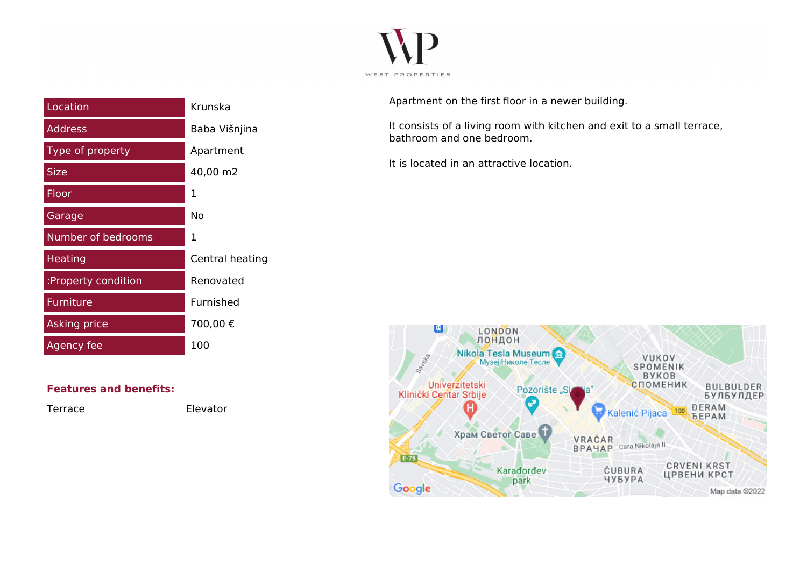

| Location            | Krunska         |
|---------------------|-----------------|
| <b>Address</b>      | Baba Višnjina   |
| Type of property    | Apartment       |
| <b>Size</b>         | 40,00 m2        |
| Floor               | 1               |
| Garage              | Nο              |
| Number of bedrooms  | 1               |
| <b>Heating</b>      | Central heating |
| :Property condition | Renovated       |
| <b>Furniture</b>    | Furnished       |
| <b>Asking price</b> | 700,00€         |
| Agency fee          | 100             |

**Features and benefits:**

Terrace Elevator

Apartment on the first floor in a newer building.

It consists of a living room with kitchen and exit to a small terrace, bathroom and one bedroom.

It is located in an attractive location.